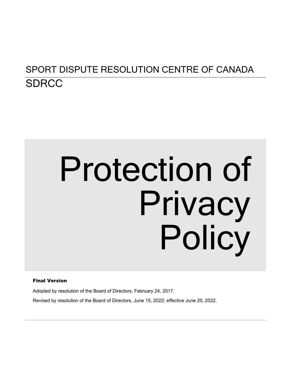# SPORT DISPUTE RESOLUTION CENTRE OF CANADA **SDRCC**

# Protection of Privacy Policy

#### Final Version

Adopted by resolution of the Board of Directors, February 24, 2017.

Revised by resolution of the Board of Directors, June 15, 2022; effective June 20, 2022.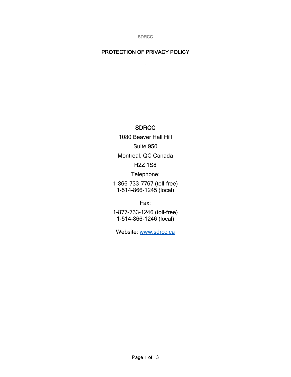#### PROTECTION OF PRIVACY POLICY

#### **SDRCC**

1080 Beaver Hall Hill Suite 950 Montreal, QC Canada H2Z 1S8 Telephone: 1-866-733-7767 (toll-free) 1-514-866-1245 (local)

Fax:

1-877-733-1246 (toll-free) 1-514-866-1246 (local)

Website: [www.sdrcc.ca](http://www.sdrcc.ca/)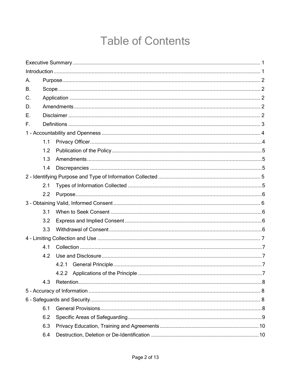# **Table of Contents**

| А.          |     |  |  |  |
|-------------|-----|--|--|--|
| В.          |     |  |  |  |
| $C_{\cdot}$ |     |  |  |  |
| D.          |     |  |  |  |
| Ε.          |     |  |  |  |
| F.          |     |  |  |  |
|             |     |  |  |  |
|             | 1.1 |  |  |  |
|             | 1.2 |  |  |  |
|             | 1.3 |  |  |  |
|             | 1.4 |  |  |  |
|             |     |  |  |  |
|             | 2.1 |  |  |  |
|             | 2.2 |  |  |  |
|             |     |  |  |  |
|             | 3.1 |  |  |  |
|             | 3.2 |  |  |  |
|             | 3.3 |  |  |  |
|             |     |  |  |  |
|             | 4.1 |  |  |  |
|             | 4.2 |  |  |  |
|             |     |  |  |  |
|             |     |  |  |  |
|             | 4.3 |  |  |  |
|             |     |  |  |  |
|             |     |  |  |  |
|             | 6.1 |  |  |  |
|             | 6.2 |  |  |  |
|             | 6.3 |  |  |  |
|             | 6.4 |  |  |  |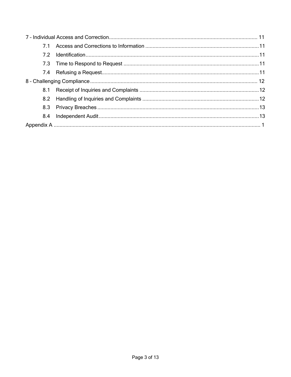| 71 |  |  |  |
|----|--|--|--|
|    |  |  |  |
|    |  |  |  |
|    |  |  |  |
|    |  |  |  |
|    |  |  |  |
|    |  |  |  |
|    |  |  |  |
|    |  |  |  |
|    |  |  |  |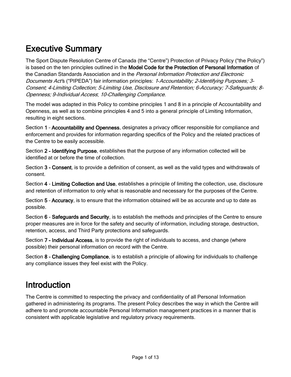# <span id="page-4-0"></span>Executive Summary

The Sport Dispute Resolution Centre of Canada (the "Centre") Protection of Privacy Policy ("the Policy") is based on the ten principles outlined in the Model Code for the Protection of Personal Information of the Canadian Standards Association and in the *Personal Information Protection and Electronic* Documents Act's ("PIPEDA") fair information principles: 1-Accountability; 2-Identifying Purposes; 3-Consent; 4-Limiting Collection; 5-Limiting Use, Disclosure and Retention; 6-Accuracy; 7-Safeguards; 8- Openness; 9-Individual Access; 10-Challenging Compliance.

The model was adapted in this Policy to combine principles 1 and 8 in a principle of Accountability and Openness, as well as to combine principles 4 and 5 into a general principle of Limiting Information, resulting in eight sections.

Section 1 – Accountability and Openness, designates a privacy officer responsible for compliance and enforcement and provides for information regarding specifics of the Policy and the related practices of the Centre to be easily accessible.

Section 2 - Identifying Purpose, establishes that the purpose of any information collected will be identified at or before the time of collection.

Section 3 - Consent, is to provide a definition of consent, as well as the valid types and withdrawals of consent.

Section 4 - Limiting Collection and Use, establishes a principle of limiting the collection, use, disclosure and retention of information to only what is reasonable and necessary for the purposes of the Centre.

Section 5 – Accuracy, is to ensure that the information obtained will be as accurate and up to date as possible.

Section 6 - Safeguards and Security, is to establish the methods and principles of the Centre to ensure proper measures are in force for the safety and security of information, including storage, destruction, retention, access, and Third Party protections and safeguards.

Section 7 - Individual Access, is to provide the right of individuals to access, and change (where possible) their personal information on record with the Centre.

Section 8 - Challenging Compliance, is to establish a principle of allowing for individuals to challenge any compliance issues they feel exist with the Policy.

## <span id="page-4-1"></span>Introduction

The Centre is committed to respecting the privacy and confidentiality of all Personal Information gathered in administering its programs. The present Policy describes the way in which the Centre will adhere to and promote accountable Personal Information management practices in a manner that is consistent with applicable legislative and regulatory privacy requirements.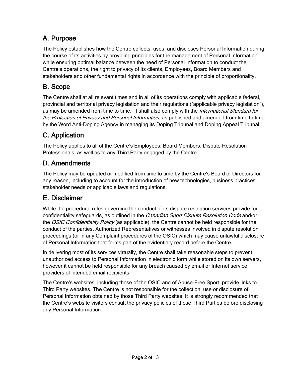## <span id="page-5-0"></span>A. Purpose

The Policy establishes how the Centre collects, uses, and discloses Personal Information during the course of its activities by providing principles for the management of Personal Information while ensuring optimal balance between the need of Personal Information to conduct the Centre's operations, the right to privacy of its clients, Employees, Board Members and stakeholders and other fundamental rights in accordance with the principle of proportionality.

## <span id="page-5-1"></span>B. Scope

The Centre shall at all relevant times and in all of its operations comply with applicable federal, provincial and territorial privacy legislation and their regulations ("applicable privacy legislation"), as may be amended from time to time. It shall also comply with the *International Standard for* the Protection of Privacy and Personal Information, as published and amended from time to time by the Word Anti-Doping Agency in managing its Doping Tribunal and Doping Appeal Tribunal.

## <span id="page-5-2"></span>C. Application

The Policy applies to all of the Centre's Employees, Board Members, Dispute Resolution Professionals, as well as to any Third Party engaged by the Centre.

## <span id="page-5-3"></span>D. Amendments

The Policy may be updated or modified from time to time by the Centre's Board of Directors for any reason, including to account for the introduction of new technologies, business practices, stakeholder needs or applicable laws and regulations.

## <span id="page-5-4"></span>E. Disclaimer

While the procedural rules governing the conduct of its dispute resolution services provide for confidentiality safeguards, as outlined in the *Canadian Sport Dispute Resolution Code* and/or the *OSIC Confidentiality Policy* (as applicable), the Centre cannot be held responsible for the conduct of the parties, Authorized Representatives or witnesses involved in dispute resolution proceedings (or in any Complaint procedures of the OSIC) which may cause unlawful disclosure of Personal Information that forms part of the evidentiary record before the Centre.

In delivering most of its services virtually, the Centre shall take reasonable steps to prevent unauthorized access to Personal Information in electronic form while stored on its own servers, however it cannot be held responsible for any breach caused by email or Internet service providers of intended email recipients.

The Centre's websites, including those of the OSIC and of Abuse-Free Sport, provide links to Third Party websites. The Centre is not responsible for the collection, use or disclosure of Personal Information obtained by those Third Party websites. It is strongly recommended that the Centre's website visitors consult the privacy policies of those Third Parties before disclosing any Personal Information.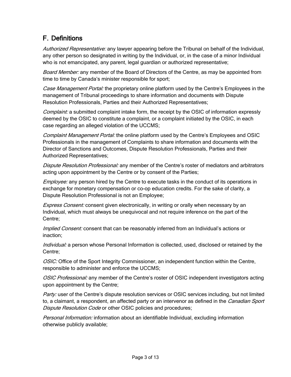## <span id="page-6-0"></span>F. Definitions

Authorized Representative: any lawyer appearing before the Tribunal on behalf of the Individual, any other person so designated in writing by the Individual, or, in the case of a minor Individual who is not emancipated, any parent, legal guardian or authorized representative;

Board Member: any member of the Board of Directors of the Centre, as may be appointed from time to time by Canada's minister responsible for sport;

Case Management Portal: the proprietary online platform used by the Centre's Employees in the management of Tribunal proceedings to share information and documents with Dispute Resolution Professionals, Parties and their Authorized Representatives;

*Complaint:* a submitted complaint intake form, the receipt by the OSIC of information expressly deemed by the OSIC to constitute a complaint, or a complaint initiated by the OSIC, in each case regarding an alleged violation of the UCCMS;

Complaint Management Portal: the online platform used by the Centre's Employees and OSIC Professionals in the management of Complaints to share information and documents with the Director of Sanctions and Outcomes, Dispute Resolution Professionals, Parties and their Authorized Representatives;

Dispute Resolution Professional: any member of the Centre's roster of mediators and arbitrators acting upon appointment by the Centre or by consent of the Parties;

Employee: any person hired by the Centre to execute tasks in the conduct of its operations in exchange for monetary compensation or co-op education credits. For the sake of clarity, a Dispute Resolution Professional is not an Employee;

*Express Consent:* consent given electronically, in writing or orally when necessary by an Individual, which must always be unequivocal and not require inference on the part of the Centre;

*Implied Consent:* consent that can be reasonably inferred from an Individual's actions or inaction;

Individual: a person whose Personal Information is collected, used, disclosed or retained by the Centre;

OSIC: Office of the Sport Integrity Commissioner, an independent function within the Centre, responsible to administer and enforce the UCCMS;

OSIC Professional: any member of the Centre's roster of OSIC independent investigators acting upon appointment by the Centre;

Party: user of the Centre's dispute resolution services or OSIC services including, but not limited to, a claimant, a respondent, an affected party or an intervenor as defined in the *Canadian Sport* Dispute Resolution Code or other OSIC policies and procedures;

Personal Information: information about an identifiable Individual, excluding information otherwise publicly available;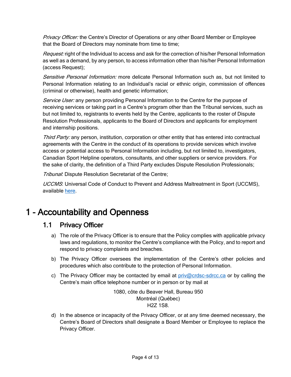Privacy Officer: the Centre's Director of Operations or any other Board Member or Employee that the Board of Directors may nominate from time to time;

Request: right of the Individual to access and ask for the correction of his/her Personal Information as well as a demand, by any person, to access information other than his/her Personal Information (access Request);

Sensitive Personal Information: more delicate Personal Information such as, but not limited to Personal Information relating to an Individual's racial or ethnic origin, commission of offences (criminal or otherwise), health and genetic information;

Service User: any person providing Personal Information to the Centre for the purpose of receiving services or taking part in a Centre's program other than the Tribunal services, such as but not limited to, registrants to events held by the Centre, applicants to the roster of Dispute Resolution Professionals, applicants to the Board of Directors and applicants for employment and internship positions.

Third Party: any person, institution, corporation or other entity that has entered into contractual agreements with the Centre in the conduct of its operations to provide services which involve access or potential access to Personal Information including, but not limited to, investigators, Canadian Sport Helpline operators, consultants, and other suppliers or service providers. For the sake of clarity, the definition of a Third Party excludes Dispute Resolution Professionals;

Tribunal: Dispute Resolution Secretariat of the Centre;

UCCMS: Universal Code of Conduct to Prevent and Address Maltreatment in Sport (UCCMS), available [here.](http://www.sportintegritycommissioner.ca/uccms)

# <span id="page-7-1"></span><span id="page-7-0"></span>1 - Accountability and Openness

#### 1.1 Privacy Officer

- a) The role of the Privacy Officer is to ensure that the Policy complies with applicable privacy laws and regulations, to monitor the Centre's compliance with the Policy, and to report and respond to privacy complaints and breaches.
- b) The Privacy Officer oversees the implementation of the Centre's other policies and procedures which also contribute to the protection of Personal Information.
- c) The Privacy Officer may be contacted by email at  $priv@crdsc-sdrcc.ca$  or by calling the Centre's main office telephone number or in person or by mail at

1080, côte du Beaver Hall, Bureau 950 Montréal (Québec) H2Z 1S8.

d) In the absence or incapacity of the Privacy Officer, or at any time deemed necessary, the Centre's Board of Directors shall designate a Board Member or Employee to replace the Privacy Officer.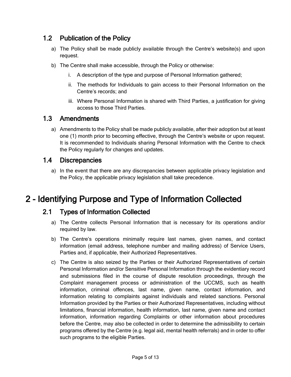## <span id="page-8-0"></span>1.2 Publication of the Policy

- a) The Policy shall be made publicly available through the Centre's website(s) and upon request.
- b) The Centre shall make accessible, through the Policy or otherwise:
	- i. A description of the type and purpose of Personal Information gathered;
	- ii. The methods for Individuals to gain access to their Personal Information on the Centre's records; and
	- iii. Where Personal Information is shared with Third Parties, a justification for giving access to those Third Parties.

#### <span id="page-8-1"></span>1.3 Amendments

a) Amendments to the Policy shall be made publicly available, after their adoption but at least one (1) month prior to becoming effective, through the Centre's website or upon request. It is recommended to Individuals sharing Personal Information with the Centre to check the Policy regularly for changes and updates.

#### <span id="page-8-2"></span>1.4 Discrepancies

a) In the event that there are any discrepancies between applicable privacy legislation and the Policy, the applicable privacy legislation shall take precedence.

## <span id="page-8-4"></span><span id="page-8-3"></span>2 - Identifying Purpose and Type of Information Collected

#### 2.1 Types of Information Collected

- a) The Centre collects Personal Information that is necessary for its operations and/or required by law.
- b) The Centre's operations minimally require last names, given names, and contact information (email address, telephone number and mailing address) of Service Users, Parties and, if applicable, their Authorized Representatives.
- c) The Centre is also seized by the Parties or their Authorized Representatives of certain Personal Information and/or Sensitive Personal Information through the evidentiary record and submissions filed in the course of dispute resolution proceedings, through the Complaint management process or administration of the UCCMS, such as health information, criminal offences, last name, given name, contact information, and information relating to complaints against individuals and related sanctions. Personal Information provided by the Parties or their Authorized Representatives, including without limitations, financial information, health information, last name, given name and contact information, information regarding Complaints or other information about procedures before the Centre, may also be collected in order to determine the admissibility to certain programs offered by the Centre (e.g. legal aid, mental health referrals) and in order to offer such programs to the eligible Parties.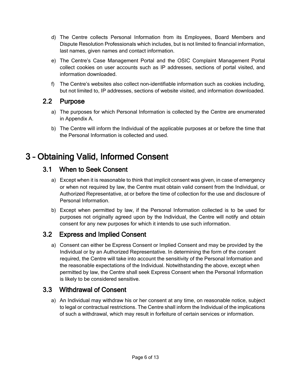- d) The Centre collects Personal Information from its Employees, Board Members and Dispute Resolution Professionals which includes, but is not limited to financial information, last names, given names and contact information.
- e) The Centre's Case Management Portal and the OSIC Complaint Management Portal collect cookies on user accounts such as IP addresses, sections of portal visited, and information downloaded.
- f) The Centre's websites also collect non-identifiable information such as cookies including, but not limited to, IP addresses, sections of website visited, and information downloaded.

#### <span id="page-9-0"></span>2.2 Purpose

- a) The purposes for which Personal Information is collected by the Centre are enumerated in Appendix A.
- b) The Centre will inform the Individual of the applicable purposes at or before the time that the Personal Information is collected and used.

# <span id="page-9-2"></span><span id="page-9-1"></span>3 – Obtaining Valid, Informed Consent

#### 3.1 When to Seek Consent

- a) Except when it is reasonable to think that implicit consent was given, in case of emergency or when not required by law, the Centre must obtain valid consent from the Individual, or Authorized Representative, at or before the time of collection for the use and disclosure of Personal Information.
- b) Except when permitted by law, if the Personal Information collected is to be used for purposes not originally agreed upon by the Individual, the Centre will notify and obtain consent for any new purposes for which it intends to use such information.

#### <span id="page-9-3"></span>3.2 Express and Implied Consent

a) Consent can either be Express Consent or Implied Consent and may be provided by the Individual or by an Authorized Representative. In determining the form of the consent required, the Centre will take into account the sensitivity of the Personal Information and the reasonable expectations of the Individual. Notwithstanding the above, except when permitted by law, the Centre shall seek Express Consent when the Personal Information is likely to be considered sensitive.

#### <span id="page-9-4"></span>3.3 Withdrawal of Consent

a) An Individual may withdraw his or her consent at any time, on reasonable notice, subject to legal or contractual restrictions. The Centre shall inform the Individual of the implications of such a withdrawal, which may result in forfeiture of certain services or information.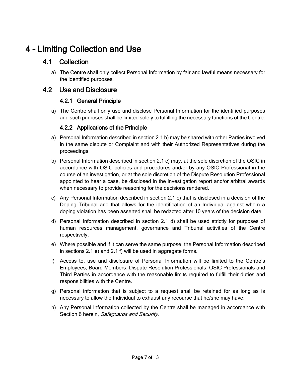# <span id="page-10-1"></span><span id="page-10-0"></span>4 – Limiting Collection and Use

#### 4.1 Collection

a) The Centre shall only collect Personal Information by fair and lawful means necessary for the identified purposes.

#### <span id="page-10-3"></span><span id="page-10-2"></span>4.2 Use and Disclosure

#### 4.2.1 General Principle

a) The Centre shall only use and disclose Personal Information for the identified purposes and such purposes shall be limited solely to fulfilling the necessary functions of the Centre.

#### 4.2.2 Applications of the Principle

- <span id="page-10-4"></span>a) Personal Information described in section 2.1 b) may be shared with other Parties involved in the same dispute or Complaint and with their Authorized Representatives during the proceedings.
- b) Personal Information described in section 2.1 c) may, at the sole discretion of the OSIC in accordance with OSIC policies and procedures and/or by any OSIC Professional in the course of an investigation, or at the sole discretion of the Dispute Resolution Professional appointed to hear a case, be disclosed in the investigation report and/or arbitral awards when necessary to provide reasoning for the decisions rendered.
- c) Any Personal Information described in section 2.1 c) that is disclosed in a decision of the Doping Tribunal and that allows for the identification of an Individual against whom a doping violation has been asserted shall be redacted after 10 years of the decision date
- d) Personal Information described in section 2.1 d) shall be used strictly for purposes of human resources management, governance and Tribunal activities of the Centre respectively.
- e) Where possible and if it can serve the same purpose, the Personal Information described in sections 2.1 e) and 2.1 f) will be used in aggregate forms.
- f) Access to, use and disclosure of Personal Information will be limited to the Centre's Employees, Board Members, Dispute Resolution Professionals, OSIC Professionals and Third Parties in accordance with the reasonable limits required to fulfill their duties and responsibilities with the Centre.
- g) Personal information that is subject to a request shall be retained for as long as is necessary to allow the Individual to exhaust any recourse that he/she may have;
- h) Any Personal Information collected by the Centre shall be managed in accordance with Section 6 herein, Safeguards and Security.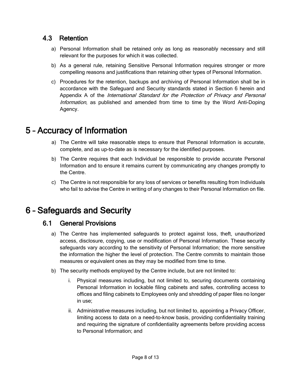#### <span id="page-11-0"></span>4.3 Retention

- a) Personal Information shall be retained only as long as reasonably necessary and still relevant for the purposes for which it was collected.
- b) As a general rule, retaining Sensitive Personal Information requires stronger or more compelling reasons and justifications than retaining other types of Personal Information.
- c) Procedures for the retention, backups and archiving of Personal Information shall be in accordance with the Safeguard and Security standards stated in Section 6 herein and Appendix A of the International Standard for the Protection of Privacy and Personal Information, as published and amended from time to time by the Word Anti-Doping Agency.

## <span id="page-11-1"></span>5 – Accuracy of Information

- a) The Centre will take reasonable steps to ensure that Personal Information is accurate, complete, and as up-to-date as is necessary for the identified purposes.
- b) The Centre requires that each Individual be responsible to provide accurate Personal Information and to ensure it remains current by communicating any changes promptly to the Centre.
- c) The Centre is not responsible for any loss of services or benefits resulting from Individuals who fail to advise the Centre in writing of any changes to their Personal Information on file.

## <span id="page-11-3"></span><span id="page-11-2"></span>6 – Safeguards and Security

#### 6.1 General Provisions

- a) The Centre has implemented safeguards to protect against loss, theft, unauthorized access, disclosure, copying, use or modification of Personal Information. These security safeguards vary according to the sensitivity of Personal Information; the more sensitive the information the higher the level of protection. The Centre commits to maintain those measures or equivalent ones as they may be modified from time to time.
- b) The security methods employed by the Centre include, but are not limited to:
	- i. Physical measures including, but not limited to, securing documents containing Personal Information in lockable filing cabinets and safes, controlling access to offices and filing cabinets to Employees only and shredding of paper files no longer in use;
	- ii. Administrative measures including, but not limited to, appointing a Privacy Officer, limiting access to data on a need-to-know basis, providing confidentiality training and requiring the signature of confidentiality agreements before providing access to Personal Information; and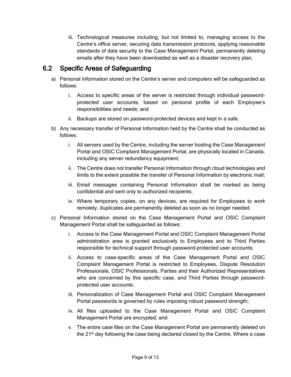iii. Technological measures including, but not limited to, managing access to the Centre's office server, securing data transmission protocols, applying reasonable standards of data security to the Case Management Portal, permanently deleting emails after they have been downloaded as well as a disaster recovery plan.

#### <span id="page-12-0"></span>6.2 Specific Areas of Safeguarding

- a) Personal Information stored on the Centre's server and computers will be safeguarded as follows:
	- i. Access to specific areas of the server is restricted through individual passwordprotected user accounts, based on personal profile of each Employee's responsibilities and needs; and
	- ii. Backups are stored on password-protected devices and kept in a safe.
- b) Any necessary transfer of Personal Information held by the Centre shall be conducted as follows:
	- i. All servers used by the Centre, including the server hosting the Case Management Portal and OSIC Complaint Management Portal, are physically located in Canada, including any server redundancy equipment;
	- ii. The Centre does not transfer Personal Information through cloud technologies and limits to the extent possible the transfer of Personal Information by electronic mail;
	- iii. Email messages containing Personal Information shall be marked as being confidential and sent only to authorized recipients;
	- iv. Where temporary copies, on any devices, are required for Employees to work remotely, duplicates are permanently deleted as soon as no longer needed.
- c) Personal Information stored on the Case Management Portal and OSIC Complaint Management Portal shall be safeguarded as follows:
	- i. Access to the Case Management Portal and OSIC Complaint Management Portal administration area is granted exclusively to Employees and to Third Parties responsible for technical support through password-protected user accounts;
	- ii. Access to case-specific areas of the Case Management Portal and OSIC Complaint Management Portal is restricted to Employees, Dispute Resolution Professionals, OSIC Professionals, Parties and their Authorized Representatives who are concerned by this specific case, and Third Parties through passwordprotected user accounts;
	- iii. Personalization of Case Management Portal and OSIC Complaint Management Portal passwords is governed by rules imposing robust password strength;
	- iv. All files uploaded to the Case Management Portal and OSIC Complaint Management Portal are encrypted; and
	- v. The entire case files on the Case Management Portal are permanently deleted on the  $21<sup>st</sup>$  day following the case being declared closed by the Centre. Where a case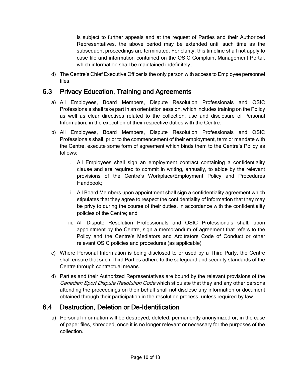is subject to further appeals and at the request of Parties and their Authorized Representatives, the above period may be extended until such time as the subsequent proceedings are terminated. For clarity, this timeline shall not apply to case file and information contained on the OSIC Complaint Management Portal, which information shall be maintained indefinitely.

d) The Centre's Chief Executive Officer is the only person with access to Employee personnel files.

#### <span id="page-13-0"></span>6.3 Privacy Education, Training and Agreements

- a) All Employees, Board Members, Dispute Resolution Professionals and OSIC Professionals shall take part in an orientation session, which includes training on the Policy as well as clear directives related to the collection, use and disclosure of Personal Information, in the execution of their respective duties with the Centre.
- b) All Employees, Board Members, Dispute Resolution Professionals and OSIC Professionals shall, prior to the commencement of their employment, term or mandate with the Centre, execute some form of agreement which binds them to the Centre's Policy as follows:
	- i. All Employees shall sign an employment contract containing a confidentiality clause and are required to commit in writing, annually, to abide by the relevant provisions of the Centre's Workplace/Employment Policy and Procedures Handbook;
	- ii. All Board Members upon appointment shall sign a confidentiality agreement which stipulates that they agree to respect the confidentiality of information that they may be privy to during the course of their duties, in accordance with the confidentiality policies of the Centre; and
	- iii. All Dispute Resolution Professionals and OSIC Professionals shall, upon appointment by the Centre, sign a memorandum of agreement that refers to the Policy and the Centre's Mediators and Arbitrators Code of Conduct or other relevant OSIC policies and procedures (as applicable)
- c) Where Personal Information is being disclosed to or used by a Third Party, the Centre shall ensure that such Third Parties adhere to the safeguard and security standards of the Centre through contractual means.
- d) Parties and their Authorized Representatives are bound by the relevant provisions of the Canadian Sport Dispute Resolution Code which stipulate that they and any other persons attending the proceedings on their behalf shall not disclose any information or document obtained through their participation in the resolution process, unless required by law.

#### <span id="page-13-1"></span>6.4 Destruction, Deletion or De-Identification

a) Personal information will be destroyed, deleted, permanently anonymized or, in the case of paper files, shredded, once it is no longer relevant or necessary for the purposes of the collection.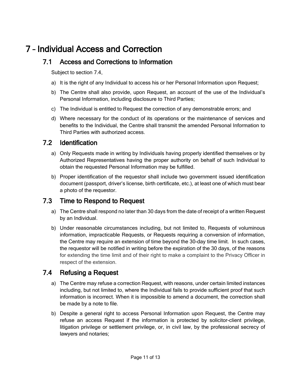# <span id="page-14-1"></span><span id="page-14-0"></span>7 – Individual Access and Correction

#### 7.1 Access and Corrections to Information

Subject to section 7.4,

- a) It is the right of any Individual to access his or her Personal Information upon Request;
- b) The Centre shall also provide, upon Request, an account of the use of the Individual's Personal Information, including disclosure to Third Parties;
- c) The Individual is entitled to Request the correction of any demonstrable errors; and
- d) Where necessary for the conduct of its operations or the maintenance of services and benefits to the Individual, the Centre shall transmit the amended Personal Information to Third Parties with authorized access.

#### <span id="page-14-2"></span>7.2 Identification

- a) Only Requests made in writing by Individuals having properly identified themselves or by Authorized Representatives having the proper authority on behalf of such Individual to obtain the requested Personal Information may be fulfilled.
- b) Proper identification of the requestor shall include two government issued identification document (passport, driver's license, birth certificate, etc.), at least one of which must bear a photo of the requestor.

#### <span id="page-14-3"></span>7.3 Time to Respond to Request

- a) The Centre shall respond no later than 30 days from the date of receipt of a written Request by an Individual.
- b) Under reasonable circumstances including, but not limited to, Requests of voluminous information, impracticable Requests, or Requests requiring a conversion of information, the Centre may require an extension of time beyond the 30-day time limit. In such cases, the requestor will be notified in writing before the expiration of the 30 days, of the reasons for extending the time limit and of their right to make a complaint to the Privacy Officer in respect of the extension.

#### <span id="page-14-4"></span>7.4 Refusing a Request

- a) The Centre may refuse a correction Request, with reasons, under certain limited instances including, but not limited to, where the Individual fails to provide sufficient proof that such information is incorrect. When it is impossible to amend a document, the correction shall be made by a note to file.
- b) Despite a general right to access Personal Information upon Request, the Centre may refuse an access Request if the information is protected by solicitor-client privilege, litigation privilege or settlement privilege, or, in civil law, by the professional secrecy of lawyers and notaries;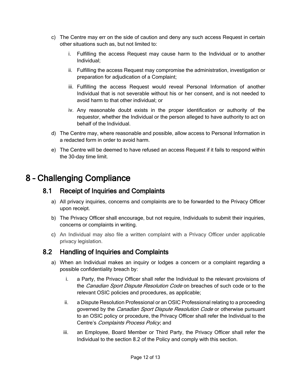- c) The Centre may err on the side of caution and deny any such access Request in certain other situations such as, but not limited to:
	- i. Fulfilling the access Request may cause harm to the Individual or to another Individual;
	- ii. Fulfilling the access Request may compromise the administration, investigation or preparation for adjudication of a Complaint;
	- iii. Fulfilling the access Request would reveal Personal Information of another Individual that is not severable without his or her consent, and is not needed to avoid harm to that other individual; or
	- iv. Any reasonable doubt exists in the proper identification or authority of the requestor, whether the Individual or the person alleged to have authority to act on behalf of the Individual.
- d) The Centre may, where reasonable and possible, allow access to Personal Information in a redacted form in order to avoid harm.
- e) The Centre will be deemed to have refused an access Request if it fails to respond within the 30-day time limit.

## <span id="page-15-1"></span><span id="page-15-0"></span>8 – Challenging Compliance

#### 8.1 Receipt of Inquiries and Complaints

- a) All privacy inquiries, concerns and complaints are to be forwarded to the Privacy Officer upon receipt.
- b) The Privacy Officer shall encourage, but not require, Individuals to submit their inquiries, concerns or complaints in writing.
- c) An Individual may also file a written complaint with a Privacy Officer under applicable privacy legislation.

#### <span id="page-15-2"></span>8.2 Handling of Inquiries and Complaints

- a) When an Individual makes an inquiry or lodges a concern or a complaint regarding a possible confidentiality breach by:
	- i. a Party, the Privacy Officer shall refer the Individual to the relevant provisions of the Canadian Sport Dispute Resolution Code on breaches of such code or to the relevant OSIC policies and procedures, as applicable;
	- ii. a Dispute Resolution Professional or an OSIC Professional relating to a proceeding governed by the *Canadian Sport Dispute Resolution Code* or otherwise pursuant to an OSIC policy or procedure, the Privacy Officer shall refer the Individual to the Centre's Complaints Process Policy; and
	- iii. an Employee, Board Member or Third Party, the Privacy Officer shall refer the Individual to the section 8.2 of the Policy and comply with this section.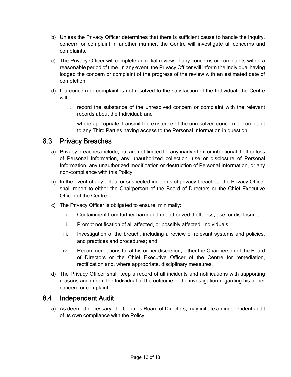- b) Unless the Privacy Officer determines that there is sufficient cause to handle the inquiry, concern or complaint in another manner, the Centre will investigate all concerns and complaints.
- c) The Privacy Officer will complete an initial review of any concerns or complaints within a reasonable period of time. In any event, the Privacy Officer will inform the Individual having lodged the concern or complaint of the progress of the review with an estimated date of completion.
- d) If a concern or complaint is not resolved to the satisfaction of the Individual, the Centre will:
	- i. record the substance of the unresolved concern or complaint with the relevant records about the Individual; and
	- ii. where appropriate, transmit the existence of the unresolved concern or complaint to any Third Parties having access to the Personal Information in question.

## <span id="page-16-0"></span>8.3 Privacy Breaches

- a) Privacy breaches include, but are not limited to, any inadvertent or intentional theft or loss of Personal Information, any unauthorized collection, use or disclosure of Personal Information, any unauthorized modification or destruction of Personal Information, or any non-compliance with this Policy.
- b) In the event of any actual or suspected incidents of privacy breaches, the Privacy Officer shall report to either the Chairperson of the Board of Directors or the Chief Executive Officer of the Centre.
- c) The Privacy Officer is obligated to ensure, minimally:
	- i. Containment from further harm and unauthorized theft, loss, use, or disclosure;
	- ii. Prompt notification of all affected, or possibly affected, Individuals;
	- iii. Investigation of the breach, including a review of relevant systems and policies, and practices and procedures; and
	- iv. Recommendations to, at his or her discretion, either the Chairperson of the Board of Directors or the Chief Executive Officer of the Centre for remediation, rectification and, where appropriate, disciplinary measures.
- d) The Privacy Officer shall keep a record of all incidents and notifications with supporting reasons and inform the Individual of the outcome of the investigation regarding his or her concern or complaint.

#### <span id="page-16-1"></span>8.4 Independent Audit

a) As deemed necessary, the Centre's Board of Directors, may initiate an independent audit of its own compliance with the Policy.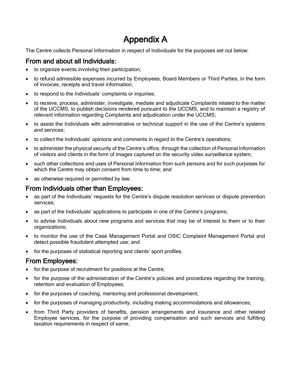# Appendix A

<span id="page-17-0"></span>The Centre collects Personal Information in respect of Individuals for the purposes set out below:

#### From and about all Individuals:

- to organize events involving their participation;
- to refund admissible expenses incurred by Employees, Board Members or Third Parties, in the form of invoices, receipts and travel information;
- to respond to the Individuals' complaints or inquiries;
- to receive, process, administer, investigate, mediate and adjudicate Complaints related to the matter of the UCCMS, to publish decisions rendered pursuant to the UCCMS, and to maintain a registry of relevant information regarding Complaints and adjudication under the UCCMS;
- to assist the Individuals with administrative or technical support in the use of the Centre's systems and services;
- to collect the Individuals' opinions and comments in regard to the Centre's operations;
- to administer the physical security of the Centre's office, through the collection of Personal Information of visitors and clients in the form of images captured on the security video surveillance system;
- such other collections and uses of Personal Information from such persons and for such purposes for which the Centre may obtain consent from time to time; and
- as otherwise required or permitted by law.

#### From Individuals other than Employees:

- as part of the Individuals' requests for the Centre's dispute resolution services or dispute prevention services;
- as part of the Individuals' applications to participate in one of the Centre's programs;
- to advise Individuals about new programs and services that may be of interest to them or to their organizations;
- to monitor the use of the Case Management Portal and OSIC Complaint Management Portal and detect possible fraudulent attempted use; and
- for the purposes of statistical reporting and clients' sport profiles.

#### From Employees:

- for the purpose of recruitment for positions at the Centre;
- for the purpose of the administration of the Centre's policies and procedures regarding the training, retention and evaluation of Employees;
- for the purposes of coaching, mentoring and professional development;
- for the purposes of managing productivity, including making accommodations and allowances;
- from Third Party providers of benefits, pension arrangements and insurance and other related Employee services, for the purpose of providing compensation and such services and fulfilling taxation requirements in respect of same;